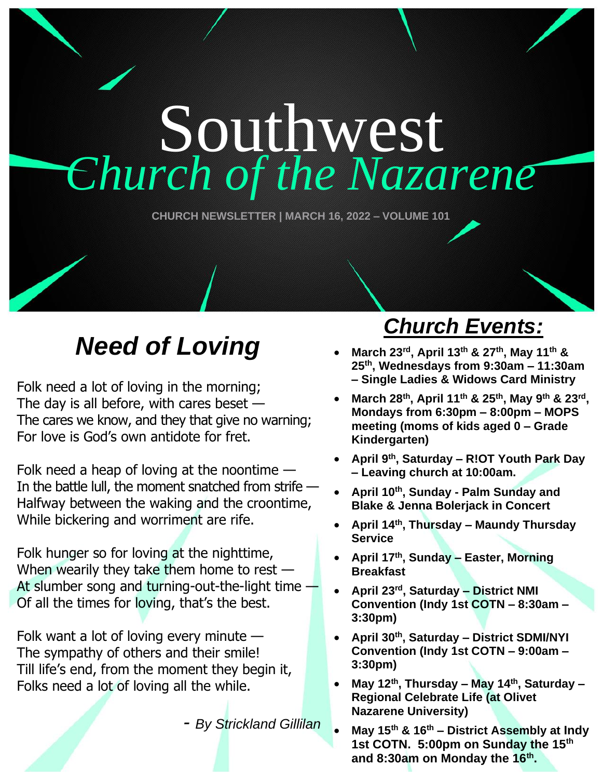# Southwest *Church of the Nazarene*

**CHURCH NEWSLETTER | MARCH 16, 2022 – VOLUME 101**

### *Need of Loving*

Folk need a lot of loving in the morning; The day is all before, with cares beset  $-$ The cares we know, and they that give no warning; For love is God's own antidote for fret.

Folk need a heap of loving at the noontime  $-$ In the battle lull, the moment snatched from strife -Halfway between the waking and the croontime, While bickering and worriment are rife.

Folk hunger so for loving at the nighttime, When wearily they take them home to rest -At slumber song and turning-out-the-light time — Of all the times for loving, that's the best.

Folk want a lot of loving every minute — The sympathy of others and their smile! Till life's end, from the moment they begin it, Folks need a lot of loving all the while.

*- By Strickland Gillilan*

### *Church Events:*

- **March 23rd, April 13 th & 27 th, May 11th & 25 th , Wednesdays from 9:30am – 11:30am – Single Ladies & Widows Card Ministry**
- **March 28th , April 11th & 25th, May 9 th & 23rd , Mondays from 6:30pm – 8:00pm – MOPS meeting (moms of kids aged 0 – Grade Kindergarten)**
- **April 9th, Saturday – R!OT Youth Park Day – Leaving church at 10:00am.**
- **April 10th, Sunday - Palm Sunday and Blake & Jenna Bolerjack in Concert**
- **April 14th , Thursday – Maundy Thursday Service**
- **April 17th, Sunday – Easter, Morning Breakfast**
- **April 23rd, Saturday – District NMI Convention (Indy 1st COTN – 8:30am – 3:30pm)**
- **April 30th, Saturday – District SDMI/NYI Convention (Indy 1st COTN – 9:00am – 3:30pm)**
- **May 12th, Thursday – May 14th, Saturday – Regional Celebrate Life (at Olivet Nazarene University)**
- **May 15th & 16th – District Assembly at Indy 1st COTN. 5:00pm on Sunday the 15th and 8:30am on Monday the 16th .**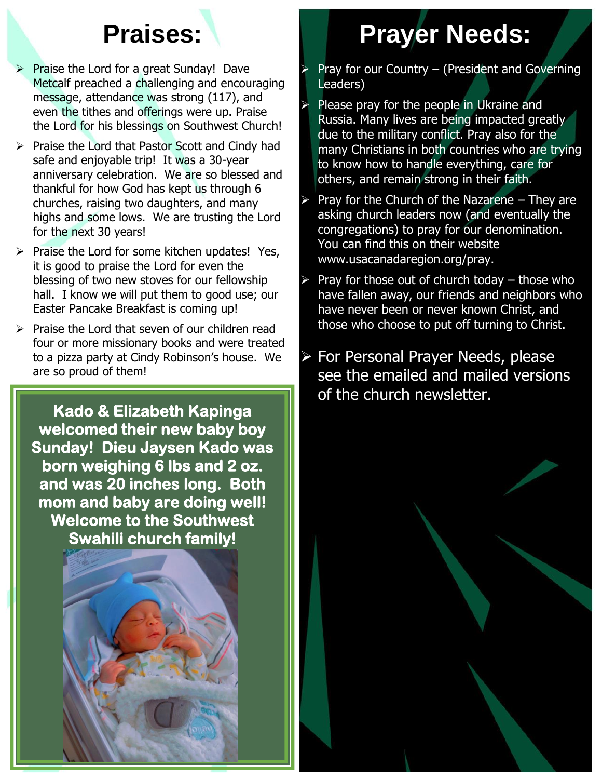- Praise the Lord for a great Sunday! Dave Metcalf preached a challenging and encouraging message, attendance was strong (117), and even the tithes and offerings were up. Praise the Lord for his blessings on Southwest Church!
- ➢ Praise the Lord that Pastor Scott and Cindy had safe and enjoyable trip! It was a 30-year anniversary celebration. We are so blessed and thankful for how God has kept us through 6 churches, raising two daughters, and many highs and some lows. We are trusting the Lord for the next 30 years!
- ➢ Praise the Lord for some kitchen updates! Yes, it is good to praise the Lord for even the blessing of two new stoves for our fellowship hall. I know we will put them to good use; our Easter Pancake Breakfast is coming up!
- ➢ Praise the Lord that seven of our children read four or more missionary books and were treated to a pizza party at Cindy Robinson's house. We are so proud of them!

**Kado & Elizabeth Kapinga welcomed their new baby boy Sunday! Dieu Jaysen Kado was born weighing 6 lbs and 2 oz. and was 20 inches long. Both mom and baby are doing well! Welcome to the Southwest Swahili church family!** 

### **Praises: Prayer Needs:**

- Pray for our Country (President and Governing Leaders)
- Please pray for the people in Ukraine and Russia. Many lives are being impacted greatly due to the military conflict. Pray also for the many Christians in both countries who are trying to know how to handle everything, care for others, and remain strong in their faith.
- ➢ Pray for the Church of the Nazarene They are asking church leaders now (and eventually the congregations) to pray for our denomination. You can find this on their website www.usacanadaregion.org/pray.
- Pray for those out of church today  $-$  those who have fallen away, our friends and neighbors who have never been or never known Christ, and those who choose to put off turning to Christ.
- ➢ For Personal Prayer Needs, please see the emailed and mailed versions of the church newsletter.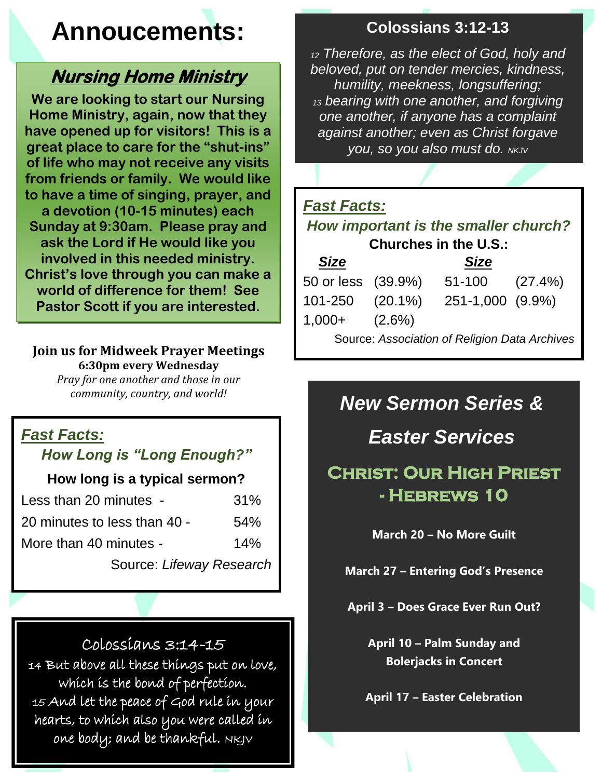### **Annoucements:**

#### **Nursing Home Ministry**

**We are looking to start our Nursing Home Ministry, again, now that they have opened up for visitors! This is a great place to care for the "shut-ins" of life who may not receive any visits from friends or family. We would like to have a time of singing, prayer, and a devotion (10-15 minutes) each Sunday at 9:30am. Please pray and ask the Lord if He would like you involved in this needed ministry. Christ's love through you can make a world of difference for them! See Pastor Scott if you are interested.**

#### **Join us for Midweek Prayer Meetings 6:30pm every Wednesday**

*Pray for one another and those in our community, country, and world!*

#### *Fast Facts:*

#### *How Long is "Long Enough?"*

#### **How long is a typical sermon?**

| Less than 20 minutes -       | 31% |  |
|------------------------------|-----|--|
| 20 minutes to less than 40 - | 54% |  |
| More than 40 minutes -       | 14% |  |
| Source: Lifeway Research     |     |  |

#### Colossians 3:14-15

14 But above all these things put on love, which is the bond of perfection. 15 And let the peace of God rule in your hearts, to which also you were called in one body; and be thankful.  $N$ KJ $V$ 

#### **Colossians 3:12-13**

*<sup>12</sup> Therefore, as the elect of God, holy and beloved, put on tender mercies, kindness, humility, meekness, longsuffering; <sup>13</sup> bearing with one another, and forgiving one another, if anyone has a complaint against another; even as Christ forgave you, so you also must do. NKJV*

#### *Fast Facts:*

#### *How important is the smaller church?* **Churches in the U.S.:**

| <b>Size</b>                                   |  | <b>Size</b>         |  |  |
|-----------------------------------------------|--|---------------------|--|--|
| 50 or less (39.9%)                            |  | $51-100$ $(27.4\%)$ |  |  |
| 101-250 (20.1%)                               |  | 251-1,000 (9.9%)    |  |  |
| $1,000+$ $(2.6\%)$                            |  |                     |  |  |
| Source: Association of Religion Data Archives |  |                     |  |  |

#### *New Sermon Series &*

*Easter Services*

#### **Christ: Our High Priest - Hebrews 10**

**March 20 – No More Guilt**

**March 27 – Entering God's Presence**

**April 3 – Does Grace Ever Run Out?**

**April 10 – Palm Sunday and Bolerjacks in Concert**

**April 17 – Easter Celebration**

**April 24 – Confidence**